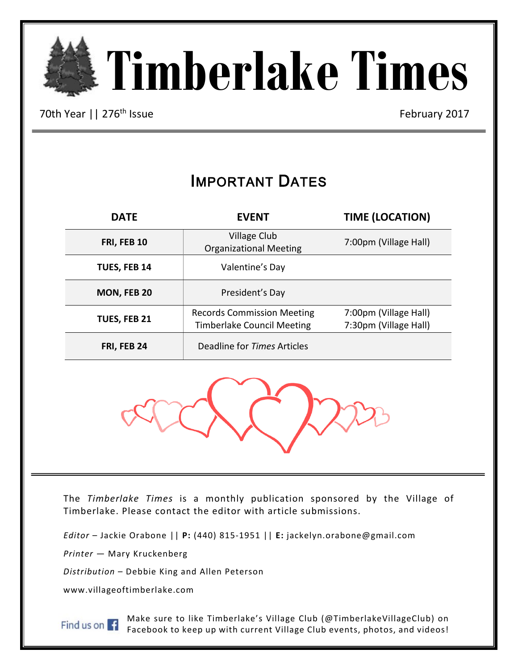

70th Year || 276<sup>th</sup> Issue February 2017

Ξ

# IMPORTANT DATES

| <b>DATE</b>  | <b>EVENT</b>                                                           | <b>TIME (LOCATION)</b>                         |
|--------------|------------------------------------------------------------------------|------------------------------------------------|
| FRI, FEB 10  | Village Club<br><b>Organizational Meeting</b>                          | 7:00pm (Village Hall)                          |
| TUES, FEB 14 | Valentine's Day                                                        |                                                |
| MON, FEB 20  | President's Day                                                        |                                                |
| TUES, FEB 21 | <b>Records Commission Meeting</b><br><b>Timberlake Council Meeting</b> | 7:00pm (Village Hall)<br>7:30pm (Village Hall) |
| FRI, FEB 24  | Deadline for Times Articles                                            |                                                |



The *Timberlake Times* is a monthly publication sponsored by the Village of Timberlake. Please contact the editor with article submissions.

*Editor* – Jackie Orabone || **P:** (440) 815-1951 || **E:** jackelyn.orabone@gmail.com

*Printer* — Mary Kruckenberg

*Distribution* – Debbie King and Allen Peterson

www.villageoftimberlake.com

Find us on  $\mathbf{F}$ 

Make sure to like Timberlake's Village Club (@TimberlakeVillageClub) on Facebook to keep up with current Village Club events, photos, and videos!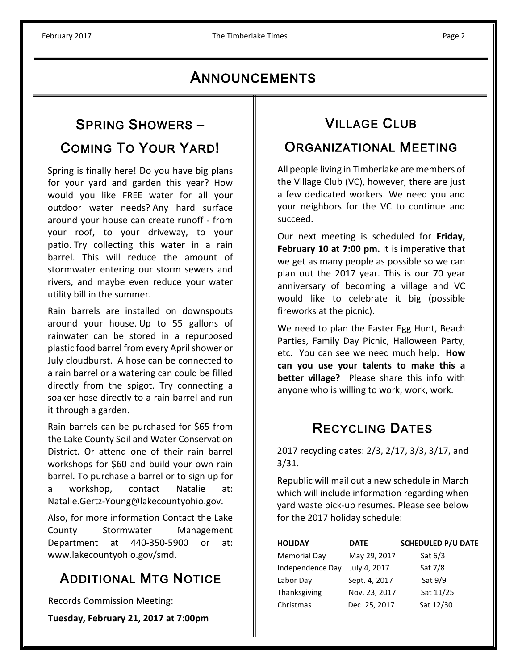# **ANNOUNCEMENTS**

### SPRING SHOWERS –

## COMING TO YOUR YARD!

Spring is finally here! Do you have big plans for your yard and garden this year? How would you like FREE water for all your outdoor water needs? Any hard surface around your house can create runoff - from your roof, to your driveway, to your patio. Try collecting this water in a rain barrel. This will reduce the amount of stormwater entering our storm sewers and rivers, and maybe even reduce your water utility bill in the summer.

Rain barrels are installed on downspouts around your house. Up to 55 gallons of rainwater can be stored in a repurposed plastic food barrel from every April shower or July cloudburst. A hose can be connected to a rain barrel or a watering can could be filled directly from the spigot. Try connecting a soaker hose directly to a rain barrel and run it through a garden.

Rain barrels can be purchased for \$65 from the Lake County Soil and Water Conservation District. Or attend one of their rain barrel workshops for \$60 and build your own rain barrel. To purchase a barrel or to sign up for a workshop, contact Natalie at: Natalie.Gertz-Young@lakecountyohio.gov.

Also, for more information Contact the Lake County Stormwater Management Department at 440-350-5900 or at: www.lakecountyohio.gov/smd.

# **ADDITIONAL MTG NOTICE**

Records Commission Meeting:

**Tuesday, February 21, 2017 at 7:00pm**

# VILLAGE CLUB

### ORGANIZATIONAL MEETING

All people living in Timberlake are members of the Village Club (VC), however, there are just a few dedicated workers. We need you and your neighbors for the VC to continue and succeed.

Our next meeting is scheduled for **Friday, February 10 at 7:00 pm.** It is imperative that we get as many people as possible so we can plan out the 2017 year. This is our 70 year anniversary of becoming a village and VC would like to celebrate it big (possible fireworks at the picnic).

We need to plan the Easter Egg Hunt, Beach Parties, Family Day Picnic, Halloween Party, etc. You can see we need much help. **How can you use your talents to make this a better village?** Please share this info with anyone who is willing to work, work, work.

# RECYCLING DATES

2017 recycling dates: 2/3, 2/17, 3/3, 3/17, and 3/31.

Republic will mail out a new schedule in March which will include information regarding when yard waste pick-up resumes. Please see below for the 2017 holiday schedule:

| <b>HOLIDAY</b>      | <b>DATE</b>   | <b>SCHEDULED P/U DATE</b> |
|---------------------|---------------|---------------------------|
| <b>Memorial Day</b> | May 29, 2017  | Sat $6/3$                 |
| Independence Day    | July 4, 2017  | Sat 7/8                   |
| Labor Day           | Sept. 4, 2017 | Sat 9/9                   |
| Thanksgiving        | Nov. 23, 2017 | Sat 11/25                 |
| Christmas           | Dec. 25, 2017 | Sat 12/30                 |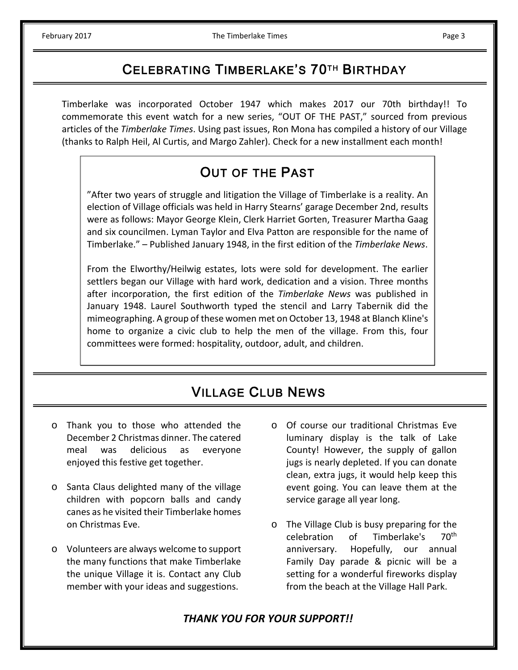ֺֺ

## CELEBRATING TIMBERLAKE'S 70TH BIRTHDAY

Timberlake was incorporated October 1947 which makes 2017 our 70th birthday!! To commemorate this event watch for a new series, "OUT OF THE PAST," sourced from previous articles of the *Timberlake Times*. Using past issues, Ron Mona has compiled a history of our Village (thanks to Ralph Heil, Al Curtis, and Margo Zahler). Check for a new installment each month!

# OUT OF THE PAST

"After two years of struggle and litigation the Village of Timberlake is a reality. An election of Village officials was held in Harry Stearns' garage December 2nd, results were as follows: Mayor George Klein, Clerk Harriet Gorten, Treasurer Martha Gaag and six councilmen. Lyman Taylor and Elva Patton are responsible for the name of Timberlake." – Published January 1948, in the first edition of the *Timberlake News*.

From the Elworthy/Heilwig estates, lots were sold for development. The earlier settlers began our Village with hard work, dedication and a vision. Three months after incorporation, the first edition of the *Timberlake News* was published in January 1948. Laurel Southworth typed the stencil and Larry Tabernik did the mimeographing. A group of these women met on October 13, 1948 at Blanch Kline's home to organize a civic club to help the men of the village. From this, four committees were formed: hospitality, outdoor, adult, and children.

# VILLAGE CLUB NEWS

- o Thank you to those who attended the December 2 Christmas dinner. The catered meal was delicious as everyone enjoyed this festive get together.
- o Santa Claus delighted many of the village children with popcorn balls and candy canes as he visited their Timberlake homes on Christmas Eve.
- o Volunteers are always welcome to support the many functions that make Timberlake the unique Village it is. Contact any Club member with your ideas and suggestions.
- o Of course our traditional Christmas Eve luminary display is the talk of Lake County! However, the supply of gallon jugs is nearly depleted. If you can donate clean, extra jugs, it would help keep this event going. You can leave them at the service garage all year long.
- o The Village Club is busy preparing for the celebration of Timberlake's  $70<sup>th</sup>$ of Timberlake's anniversary. Hopefully, our annual Family Day parade & picnic will be a setting for a wonderful fireworks display from the beach at the Village Hall Park.

### *THANK YOU FOR YOUR SUPPORT!!*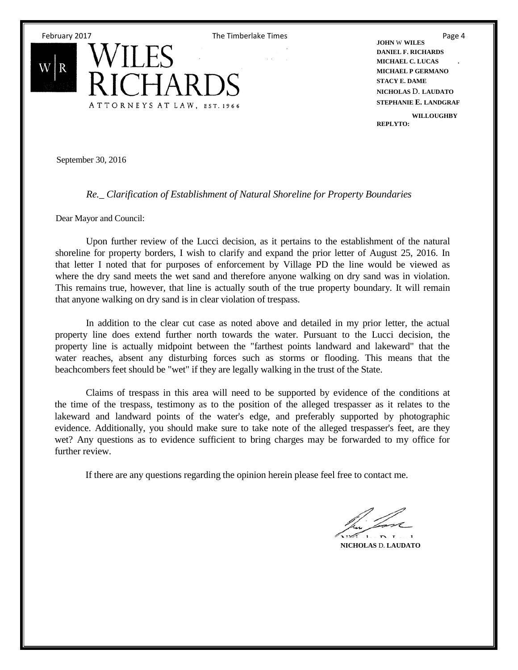

**JOHN** W **WILES DANIEL F. RICHARDS MICHAEL C. LUCAS . MICHAEL P GERMANO STACY E. DAME NICHOLAS** D. **LAUDATO STEPHANIE E. LANDGRAF WILLOUGHBY REPLYTO:**

September 30, 2016

#### *Re.\_ Clarification of Establishment of Natural Shoreline for Property Boundaries*

Dear Mayor and Council:

Upon further review of the Lucci decision, as it pertains to the establishment of the natural shoreline for property borders, I wish to clarify and expand the prior letter of August 25, 2016. In that letter I noted that for purposes of enforcement by Village PD the line would be viewed as where the dry sand meets the wet sand and therefore anyone walking on dry sand was in violation. This remains true, however, that line is actually south of the true property boundary. It will remain that anyone walking on dry sand is in clear violation of trespass.

In addition to the clear cut case as noted above and detailed in my prior letter, the actual property line does extend further north towards the water. Pursuant to the Lucci decision, the property line is actually midpoint between the "farthest points landward and lakeward" that the water reaches, absent any disturbing forces such as storms or flooding. This means that the beachcombers feet should be "wet" if they are legally walking in the trust of the State.

Claims of trespass in this area will need to be supported by evidence of the conditions at the time of the trespass, testimony as to the position of the alleged trespasser as it relates to the lakeward and landward points of the water's edge, and preferably supported by photographic evidence. Additionally, you should make sure to take note of the alleged trespasser's feet, are they wet? Any questions as to evidence sufficient to bring charges may be forwarded to my office for further review.

If there are any questions regarding the opinion herein please feel free to contact me.

**NICHOLAS** D. **LAUDATO**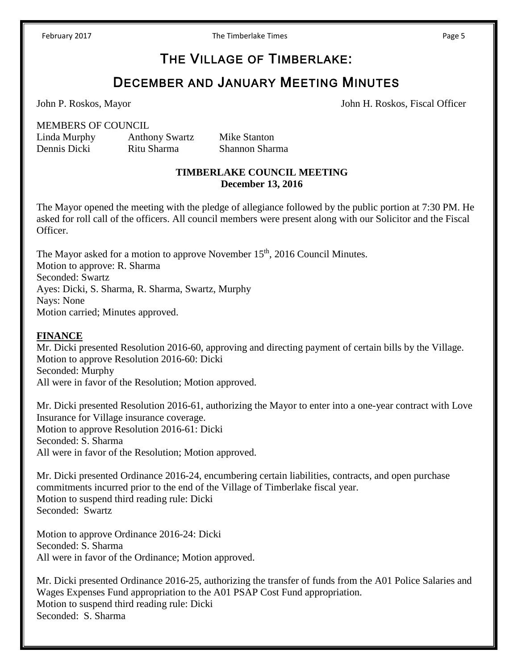THE VILLAGE OF TIMBERLAKE:

### DECEMBER AND JANUARY MEETING MINUTES

John P. Roskos, Mayor John H. Roskos, Fiscal Officer

MEMBERS OF COUNCIL

Linda Murphy Anthony Swartz Mike Stanton

Dennis Dicki Ritu Sharma Shannon Sharma

#### **TIMBERLAKE COUNCIL MEETING December 13, 2016**

The Mayor opened the meeting with the pledge of allegiance followed by the public portion at 7:30 PM. He asked for roll call of the officers. All council members were present along with our Solicitor and the Fiscal Officer.

The Mayor asked for a motion to approve November 15<sup>th</sup>, 2016 Council Minutes. Motion to approve: R. Sharma Seconded: Swartz Ayes: Dicki, S. Sharma, R. Sharma, Swartz, Murphy Nays: None Motion carried; Minutes approved.

#### **FINANCE**

Mr. Dicki presented Resolution 2016-60, approving and directing payment of certain bills by the Village. Motion to approve Resolution 2016-60: Dicki Seconded: Murphy All were in favor of the Resolution; Motion approved.

Mr. Dicki presented Resolution 2016-61, authorizing the Mayor to enter into a one-year contract with Love Insurance for Village insurance coverage. Motion to approve Resolution 2016-61: Dicki Seconded: S. Sharma All were in favor of the Resolution; Motion approved.

Mr. Dicki presented Ordinance 2016-24, encumbering certain liabilities, contracts, and open purchase commitments incurred prior to the end of the Village of Timberlake fiscal year. Motion to suspend third reading rule: Dicki Seconded: Swartz

Motion to approve Ordinance 2016-24: Dicki Seconded: S. Sharma All were in favor of the Ordinance; Motion approved.

Mr. Dicki presented Ordinance 2016-25, authorizing the transfer of funds from the A01 Police Salaries and Wages Expenses Fund appropriation to the A01 PSAP Cost Fund appropriation. Motion to suspend third reading rule: Dicki Seconded: S. Sharma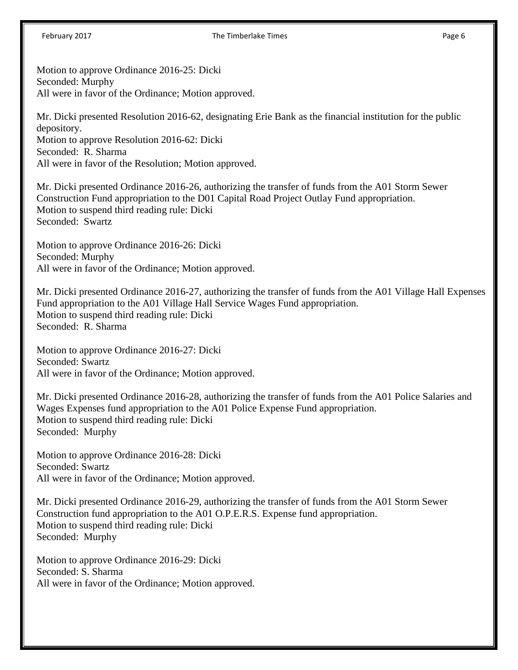#### February 2017 **The Timberlake Times The Timberlake Times Page 6**

Motion to approve Ordinance 2016-25: Dicki Seconded: Murphy All were in favor of the Ordinance; Motion approved.

Mr. Dicki presented Resolution 2016-62, designating Erie Bank as the financial institution for the public depository. Motion to approve Resolution 2016-62: Dicki Seconded: R. Sharma All were in favor of the Resolution; Motion approved.

Mr. Dicki presented Ordinance 2016-26, authorizing the transfer of funds from the A01 Storm Sewer Construction Fund appropriation to the D01 Capital Road Project Outlay Fund appropriation. Motion to suspend third reading rule: Dicki Seconded: Swartz

Motion to approve Ordinance 2016-26: Dicki Seconded: Murphy All were in favor of the Ordinance; Motion approved.

Mr. Dicki presented Ordinance 2016-27, authorizing the transfer of funds from the A01 Village Hall Expenses Fund appropriation to the A01 Village Hall Service Wages Fund appropriation. Motion to suspend third reading rule: Dicki Seconded: R. Sharma

Motion to approve Ordinance 2016-27: Dicki Seconded: Swartz All were in favor of the Ordinance; Motion approved.

Mr. Dicki presented Ordinance 2016-28, authorizing the transfer of funds from the A01 Police Salaries and Wages Expenses fund appropriation to the A01 Police Expense Fund appropriation. Motion to suspend third reading rule: Dicki Seconded: Murphy

Motion to approve Ordinance 2016-28: Dicki Seconded: Swartz All were in favor of the Ordinance; Motion approved.

Mr. Dicki presented Ordinance 2016-29, authorizing the transfer of funds from the A01 Storm Sewer Construction fund appropriation to the A01 O.P.E.R.S. Expense fund appropriation. Motion to suspend third reading rule: Dicki Seconded: Murphy

Motion to approve Ordinance 2016-29: Dicki Seconded: S. Sharma All were in favor of the Ordinance; Motion approved.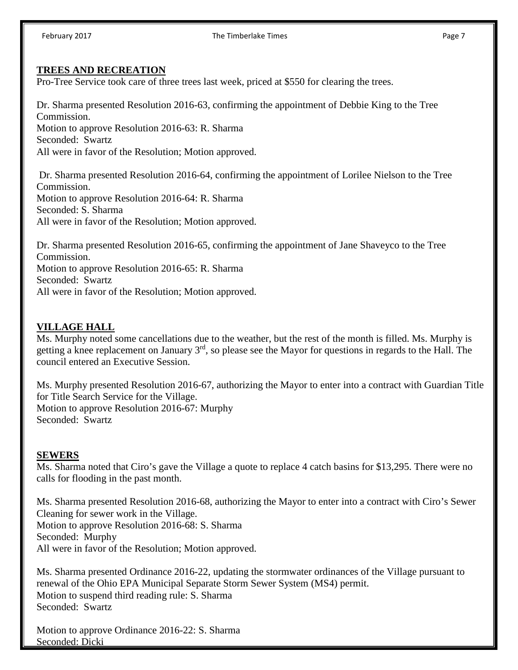### **TREES AND RECREATION**

Pro-Tree Service took care of three trees last week, priced at \$550 for clearing the trees.

Dr. Sharma presented Resolution 2016-63, confirming the appointment of Debbie King to the Tree Commission. Motion to approve Resolution 2016-63: R. Sharma Seconded: Swartz All were in favor of the Resolution; Motion approved. Dr. Sharma presented Resolution 2016-64, confirming the appointment of Lorilee Nielson to the Tree Commission.

Motion to approve Resolution 2016-64: R. Sharma Seconded: S. Sharma All were in favor of the Resolution; Motion approved.

Dr. Sharma presented Resolution 2016-65, confirming the appointment of Jane Shaveyco to the Tree Commission. Motion to approve Resolution 2016-65: R. Sharma Seconded: Swartz All were in favor of the Resolution; Motion approved.

### **VILLAGE HALL**

Ms. Murphy noted some cancellations due to the weather, but the rest of the month is filled. Ms. Murphy is getting a knee replacement on January  $3<sup>rd</sup>$ , so please see the Mayor for questions in regards to the Hall. The council entered an Executive Session.

Ms. Murphy presented Resolution 2016-67, authorizing the Mayor to enter into a contract with Guardian Title for Title Search Service for the Village. Motion to approve Resolution 2016-67: Murphy Seconded: Swartz

#### **SEWERS**

Ms. Sharma noted that Ciro's gave the Village a quote to replace 4 catch basins for \$13,295. There were no calls for flooding in the past month.

Ms. Sharma presented Resolution 2016-68, authorizing the Mayor to enter into a contract with Ciro's Sewer Cleaning for sewer work in the Village. Motion to approve Resolution 2016-68: S. Sharma Seconded: Murphy All were in favor of the Resolution; Motion approved.

Ms. Sharma presented Ordinance 2016-22, updating the stormwater ordinances of the Village pursuant to renewal of the Ohio EPA Municipal Separate Storm Sewer System (MS4) permit. Motion to suspend third reading rule: S. Sharma Seconded: Swartz

Motion to approve Ordinance 2016-22: S. Sharma Seconded: Dicki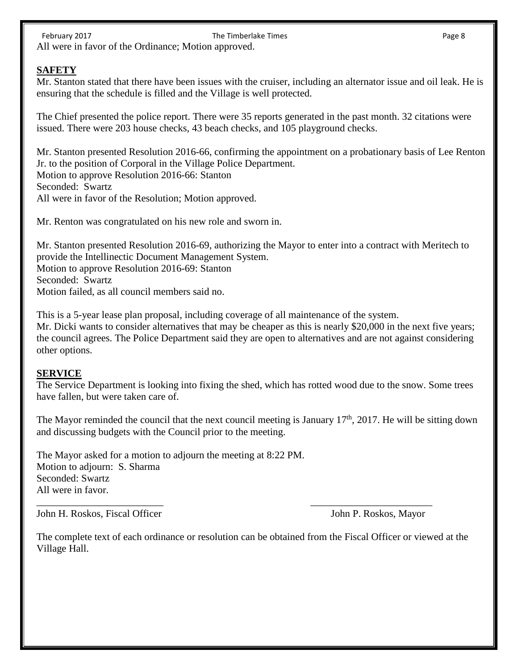February 2017 **The Timberlake Times The Timberlake Times Page 8** All were in favor of the Ordinance; Motion approved.

#### **SAFETY**

Mr. Stanton stated that there have been issues with the cruiser, including an alternator issue and oil leak. He is ensuring that the schedule is filled and the Village is well protected.

The Chief presented the police report. There were 35 reports generated in the past month. 32 citations were issued. There were 203 house checks, 43 beach checks, and 105 playground checks.

Mr. Stanton presented Resolution 2016-66, confirming the appointment on a probationary basis of Lee Renton Jr. to the position of Corporal in the Village Police Department. Motion to approve Resolution 2016-66: Stanton Seconded: Swartz All were in favor of the Resolution; Motion approved.

Mr. Renton was congratulated on his new role and sworn in.

Mr. Stanton presented Resolution 2016-69, authorizing the Mayor to enter into a contract with Meritech to provide the Intellinectic Document Management System. Motion to approve Resolution 2016-69: Stanton Seconded: Swartz Motion failed, as all council members said no.

This is a 5-year lease plan proposal, including coverage of all maintenance of the system. Mr. Dicki wants to consider alternatives that may be cheaper as this is nearly \$20,000 in the next five years; the council agrees. The Police Department said they are open to alternatives and are not against considering other options.

#### **SERVICE**

The Service Department is looking into fixing the shed, which has rotted wood due to the snow. Some trees have fallen, but were taken care of.

The Mayor reminded the council that the next council meeting is January  $17<sup>th</sup>$ , 2017. He will be sitting down and discussing budgets with the Council prior to the meeting.

The Mayor asked for a motion to adjourn the meeting at 8:22 PM. Motion to adjourn: S. Sharma Seconded: Swartz All were in favor.

John H. Roskos, Fiscal Officer John P. Roskos, Mayor

The complete text of each ordinance or resolution can be obtained from the Fiscal Officer or viewed at the Village Hall.

\_\_\_\_\_\_\_\_\_\_\_\_\_\_\_\_\_\_\_\_\_\_\_\_\_ \_\_\_\_\_\_\_\_\_\_\_\_\_\_\_\_\_\_\_\_\_\_\_\_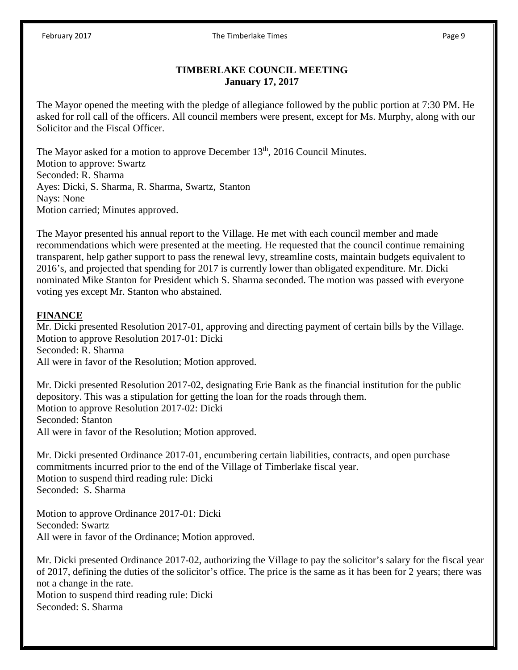#### **TIMBERLAKE COUNCIL MEETING January 17, 2017**

The Mayor opened the meeting with the pledge of allegiance followed by the public portion at 7:30 PM. He asked for roll call of the officers. All council members were present, except for Ms. Murphy, along with our Solicitor and the Fiscal Officer.

The Mayor asked for a motion to approve December 13<sup>th</sup>, 2016 Council Minutes. Motion to approve: Swartz Seconded: R. Sharma Ayes: Dicki, S. Sharma, R. Sharma, Swartz, Stanton Nays: None Motion carried; Minutes approved.

The Mayor presented his annual report to the Village. He met with each council member and made recommendations which were presented at the meeting. He requested that the council continue remaining transparent, help gather support to pass the renewal levy, streamline costs, maintain budgets equivalent to 2016's, and projected that spending for 2017 is currently lower than obligated expenditure. Mr. Dicki nominated Mike Stanton for President which S. Sharma seconded. The motion was passed with everyone voting yes except Mr. Stanton who abstained.

### **FINANCE**

Mr. Dicki presented Resolution 2017-01, approving and directing payment of certain bills by the Village. Motion to approve Resolution 2017-01: Dicki Seconded: R. Sharma All were in favor of the Resolution; Motion approved.

Mr. Dicki presented Resolution 2017-02, designating Erie Bank as the financial institution for the public depository. This was a stipulation for getting the loan for the roads through them. Motion to approve Resolution 2017-02: Dicki Seconded: Stanton All were in favor of the Resolution; Motion approved.

Mr. Dicki presented Ordinance 2017-01, encumbering certain liabilities, contracts, and open purchase commitments incurred prior to the end of the Village of Timberlake fiscal year. Motion to suspend third reading rule: Dicki Seconded: S. Sharma

Motion to approve Ordinance 2017-01: Dicki Seconded: Swartz All were in favor of the Ordinance; Motion approved.

Mr. Dicki presented Ordinance 2017-02, authorizing the Village to pay the solicitor's salary for the fiscal year of 2017, defining the duties of the solicitor's office. The price is the same as it has been for 2 years; there was not a change in the rate. Motion to suspend third reading rule: Dicki Seconded: S. Sharma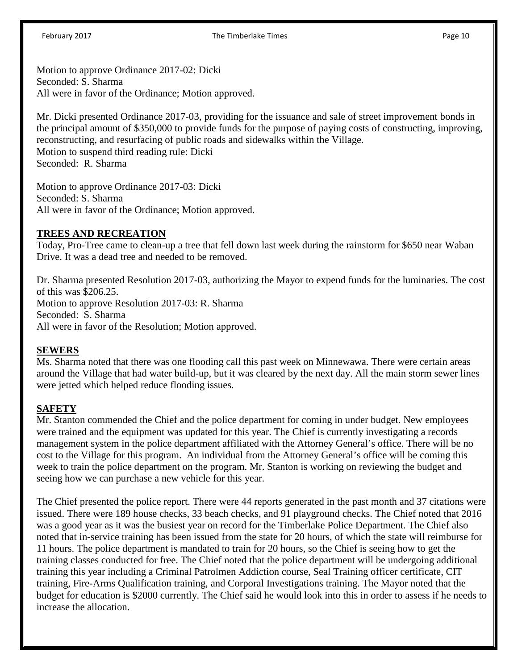#### February 2017 **The Timberlake Times** Page 10

Motion to approve Ordinance 2017-02: Dicki Seconded: S. Sharma All were in favor of the Ordinance; Motion approved.

Mr. Dicki presented Ordinance 2017-03, providing for the issuance and sale of street improvement bonds in the principal amount of \$350,000 to provide funds for the purpose of paying costs of constructing, improving, reconstructing, and resurfacing of public roads and sidewalks within the Village. Motion to suspend third reading rule: Dicki Seconded: R. Sharma

Motion to approve Ordinance 2017-03: Dicki Seconded: S. Sharma All were in favor of the Ordinance; Motion approved.

#### **TREES AND RECREATION**

Today, Pro-Tree came to clean-up a tree that fell down last week during the rainstorm for \$650 near Waban Drive. It was a dead tree and needed to be removed.

Dr. Sharma presented Resolution 2017-03, authorizing the Mayor to expend funds for the luminaries. The cost of this was \$206.25. Motion to approve Resolution 2017-03: R. Sharma Seconded: S. Sharma All were in favor of the Resolution; Motion approved.

#### **SEWERS**

Ms. Sharma noted that there was one flooding call this past week on Minnewawa. There were certain areas around the Village that had water build-up, but it was cleared by the next day. All the main storm sewer lines were jetted which helped reduce flooding issues.

### **SAFETY**

Mr. Stanton commended the Chief and the police department for coming in under budget. New employees were trained and the equipment was updated for this year. The Chief is currently investigating a records management system in the police department affiliated with the Attorney General's office. There will be no cost to the Village for this program. An individual from the Attorney General's office will be coming this week to train the police department on the program. Mr. Stanton is working on reviewing the budget and seeing how we can purchase a new vehicle for this year.

The Chief presented the police report. There were 44 reports generated in the past month and 37 citations were issued. There were 189 house checks, 33 beach checks, and 91 playground checks. The Chief noted that 2016 was a good year as it was the busiest year on record for the Timberlake Police Department. The Chief also noted that in-service training has been issued from the state for 20 hours, of which the state will reimburse for 11 hours. The police department is mandated to train for 20 hours, so the Chief is seeing how to get the training classes conducted for free. The Chief noted that the police department will be undergoing additional training this year including a Criminal Patrolmen Addiction course, Seal Training officer certificate, CIT training, Fire-Arms Qualification training, and Corporal Investigations training. The Mayor noted that the budget for education is \$2000 currently. The Chief said he would look into this in order to assess if he needs to increase the allocation.